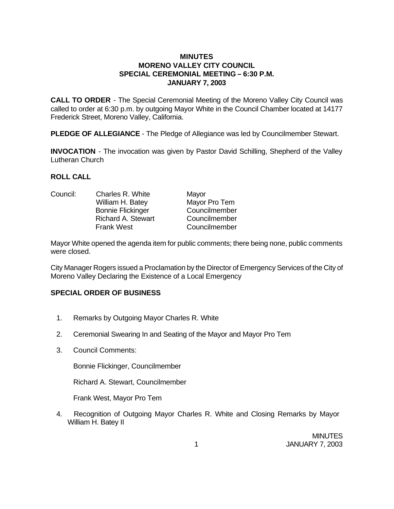## **MINUTES MORENO VALLEY CITY COUNCIL SPECIAL CEREMONIAL MEETING – 6:30 P.M. JANUARY 7, 2003**

**CALL TO ORDER** - The Special Ceremonial Meeting of the Moreno Valley City Council was called to order at 6:30 p.m. by outgoing Mayor White in the Council Chamber located at 14177 Frederick Street, Moreno Valley, California.

**PLEDGE OF ALLEGIANCE** - The Pledge of Allegiance was led by Councilmember Stewart.

**INVOCATION** - The invocation was given by Pastor David Schilling, Shepherd of the Valley Lutheran Church

## **ROLL CALL**

| Council: | Charles R. White          | Mayor         |
|----------|---------------------------|---------------|
|          | William H. Batey          | Mayor Pro Tem |
|          | <b>Bonnie Flickinger</b>  | Councilmember |
|          | <b>Richard A. Stewart</b> | Councilmember |
|          | <b>Frank West</b>         | Councilmember |
|          |                           |               |

Mayor White opened the agenda item for public comments; there being none, public comments were closed.

City Manager Rogers issued a Proclamation by the Director of Emergency Services of the City of Moreno Valley Declaring the Existence of a Local Emergency

## **SPECIAL ORDER OF BUSINESS**

- 1. Remarks by Outgoing Mayor Charles R. White
- 2. Ceremonial Swearing In and Seating of the Mayor and Mayor Pro Tem
- 3. Council Comments:

Bonnie Flickinger, Councilmember

Richard A. Stewart, Councilmember

Frank West, Mayor Pro Tem

4. Recognition of Outgoing Mayor Charles R. White and Closing Remarks by Mayor William H. Batey II

> **MINUTES** 1 JANUARY 7, 2003